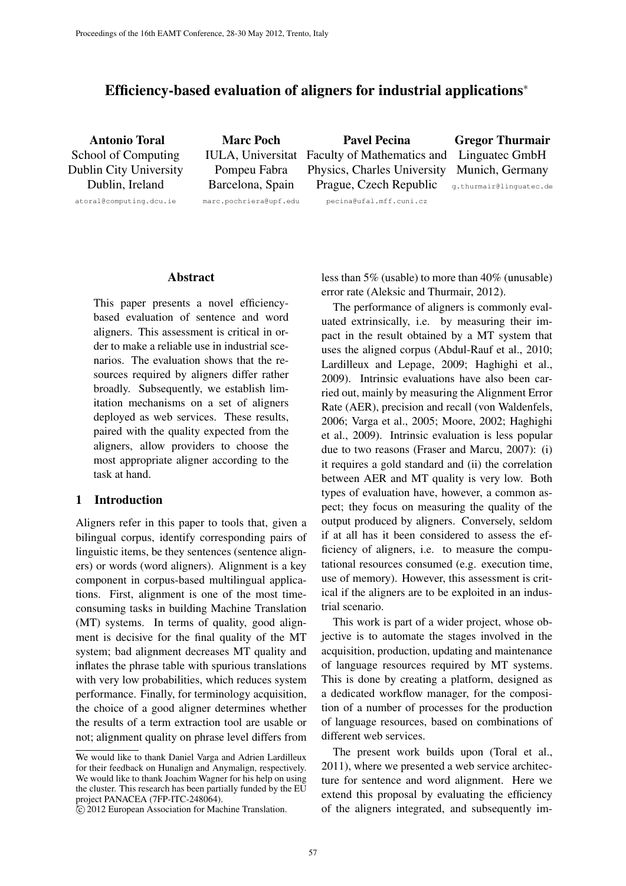# Efficiency-based evaluation of aligners for industrial applications<sup>∗</sup>

Antonio Toral School of Computing Dublin City University Dublin, Ireland

Marc Poch Pompeu Fabra Barcelona, Spain

IULA, Universitat Faculty of Mathematics and Pavel Pecina Physics, Charles University Prague, Czech Republic Gregor Thurmair Linguatec GmbH Munich, Germany

atoral@computing.dcu.ie

marc.pochriera@upf.edu

pecina@ufal.mff.cuni.cz g.thurmair@linguatec.de

### Abstract

This paper presents a novel efficiencybased evaluation of sentence and word aligners. This assessment is critical in order to make a reliable use in industrial scenarios. The evaluation shows that the resources required by aligners differ rather broadly. Subsequently, we establish limitation mechanisms on a set of aligners deployed as web services. These results, paired with the quality expected from the aligners, allow providers to choose the most appropriate aligner according to the task at hand.

# 1 Introduction

Aligners refer in this paper to tools that, given a bilingual corpus, identify corresponding pairs of linguistic items, be they sentences (sentence aligners) or words (word aligners). Alignment is a key component in corpus-based multilingual applications. First, alignment is one of the most timeconsuming tasks in building Machine Translation (MT) systems. In terms of quality, good alignment is decisive for the final quality of the MT system; bad alignment decreases MT quality and inflates the phrase table with spurious translations with very low probabilities, which reduces system performance. Finally, for terminology acquisition, the choice of a good aligner determines whether the results of a term extraction tool are usable or not; alignment quality on phrase level differs from

less than 5% (usable) to more than 40% (unusable) error rate (Aleksic and Thurmair, 2012).

The performance of aligners is commonly evaluated extrinsically, i.e. by measuring their impact in the result obtained by a MT system that uses the aligned corpus (Abdul-Rauf et al., 2010; Lardilleux and Lepage, 2009; Haghighi et al., 2009). Intrinsic evaluations have also been carried out, mainly by measuring the Alignment Error Rate (AER), precision and recall (von Waldenfels, 2006; Varga et al., 2005; Moore, 2002; Haghighi et al., 2009). Intrinsic evaluation is less popular due to two reasons (Fraser and Marcu, 2007): (i) it requires a gold standard and (ii) the correlation between AER and MT quality is very low. Both types of evaluation have, however, a common aspect; they focus on measuring the quality of the output produced by aligners. Conversely, seldom if at all has it been considered to assess the efficiency of aligners, i.e. to measure the computational resources consumed (e.g. execution time, use of memory). However, this assessment is critical if the aligners are to be exploited in an industrial scenario.

This work is part of a wider project, whose objective is to automate the stages involved in the acquisition, production, updating and maintenance of language resources required by MT systems. This is done by creating a platform, designed as a dedicated workflow manager, for the composition of a number of processes for the production of language resources, based on combinations of different web services.

The present work builds upon (Toral et al., 2011), where we presented a web service architecture for sentence and word alignment. Here we extend this proposal by evaluating the efficiency of the aligners integrated, and subsequently im-

<sup>∗</sup>We would like to thank Daniel Varga and Adrien Lardilleux for their feedback on Hunalign and Anymalign, respectively. We would like to thank Joachim Wagner for his help on using the cluster. This research has been partially funded by the EU project PANACEA (7FP-ITC-248064).

<sup>∗</sup> c 2012 European Association for Machine Translation.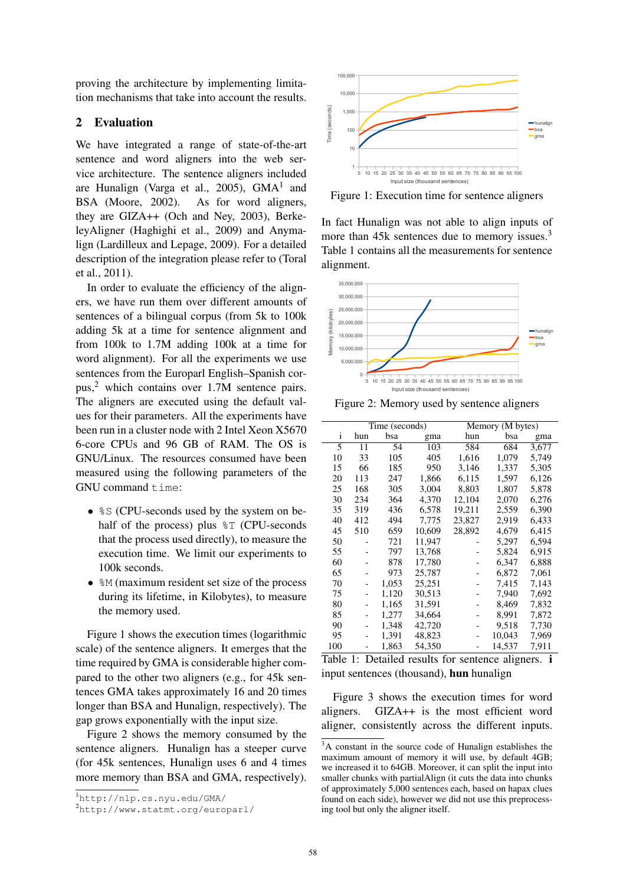proving the architecture by implementing limitation mechanisms that take into account the results.

# 2 Evaluation

We have integrated a range of state-of-the-art sentence and word aligners into the web service architecture. The sentence aligners included are Hunalign (Varga et al., 2005), GMA<sup>1</sup> and BSA (Moore, 2002). As for word aligners, they are GIZA++ (Och and Ney, 2003), BerkeleyAligner (Haghighi et al., 2009) and Anymalign (Lardilleux and Lepage, 2009). For a detailed description of the integration please refer to (Toral et al., 2011).

In order to evaluate the efficiency of the aligners, we have run them over different amounts of sentences of a bilingual corpus (from 5k to 100k adding 5k at a time for sentence alignment and from 100k to 1.7M adding 100k at a time for word alignment). For all the experiments we use sentences from the Europarl English–Spanish corpus,<sup>2</sup> which contains over 1.7M sentence pairs. The aligners are executed using the default values for their parameters. All the experiments have been run in a cluster node with 2 Intel Xeon X5670 6-core CPUs and 96 GB of RAM. The OS is GNU/Linux. The resources consumed have been measured using the following parameters of the GNU command time:

- $\frac{1}{2}S$  (CPU-seconds used by the system on behalf of the process) plus  $\S T$  (CPU-seconds that the process used directly), to measure the execution time. We limit our experiments to 100k seconds.
- $M$  (maximum resident set size of the process during its lifetime, in Kilobytes), to measure the memory used.

Figure 1 shows the execution times (logarithmic scale) of the sentence aligners. It emerges that the time required by GMA is considerable higher compared to the other two aligners (e.g., for 45k sentences GMA takes approximately 16 and 20 times longer than BSA and Hunalign, respectively). The gap grows exponentially with the input size.

Figure 2 shows the memory consumed by the sentence aligners. Hunalign has a steeper curve (for 45k sentences, Hunalign uses 6 and 4 times more memory than BSA and GMA, respectively).



Figure 1: Execution time for sentence aligners

In fact Hunalign was not able to align inputs of more than 45k sentences due to memory issues.<sup>3</sup> Table 1 contains all the measurements for sentence alignment.



Figure 2: Memory used by sentence aligners

|     | Time (seconds) |       |        | Memory (M bytes) |        |       |
|-----|----------------|-------|--------|------------------|--------|-------|
| i   | hun            | bsa   | gma    | hun              | bsa    | gma   |
| 5   | 11             | 54    | 103    | 584              | 684    | 3,677 |
| 10  | 33             | 105   | 405    | 1,616            | 1,079  | 5,749 |
| 15  | 66             | 185   | 950    | 3,146            | 1,337  | 5,305 |
| 20  | 113            | 247   | 1,866  | 6,115            | 1,597  | 6,126 |
| 25  | 168            | 305   | 3,004  | 8,803            | 1,807  | 5,878 |
| 30  | 234            | 364   | 4,370  | 12,104           | 2,070  | 6,276 |
| 35  | 319            | 436   | 6,578  | 19,211           | 2,559  | 6,390 |
| 40  | 412            | 494   | 7,775  | 23,827           | 2,919  | 6,433 |
| 45  | 510            | 659   | 10,609 | 28,892           | 4,679  | 6,415 |
| 50  |                | 721   | 11.947 |                  | 5,297  | 6,594 |
| 55  |                | 797   | 13,768 |                  | 5,824  | 6,915 |
| 60  |                | 878   | 17.780 |                  | 6,347  | 6.888 |
| 65  |                | 973   | 25,787 |                  | 6,872  | 7,061 |
| 70  |                | 1,053 | 25,251 |                  | 7,415  | 7,143 |
| 75  |                | 1.120 | 30.513 |                  | 7.940  | 7,692 |
| 80  |                | 1,165 | 31,591 |                  | 8,469  | 7,832 |
| 85  |                | 1.277 | 34,664 |                  | 8,991  | 7,872 |
| 90  |                | 1.348 | 42,720 |                  | 9,518  | 7,730 |
| 95  |                | 1,391 | 48,823 |                  | 10,043 | 7,969 |
| 100 |                | 1,863 | 54,350 |                  | 14,537 | 7.911 |

Table 1: Detailed results for sentence aligners. i input sentences (thousand), hun hunalign

Figure 3 shows the execution times for word aligners. GIZA++ is the most efficient word aligner, consistently across the different inputs.

<sup>1</sup>http://nlp.cs.nyu.edu/GMA/

<sup>2</sup>http://www.statmt.org/europarl/

<sup>3</sup>A constant in the source code of Hunalign establishes the maximum amount of memory it will use, by default 4GB; we increased it to 64GB. Moreover, it can split the input into smaller chunks with partialAlign (it cuts the data into chunks of approximately 5,000 sentences each, based on hapax clues found on each side), however we did not use this preprocessing tool but only the aligner itself.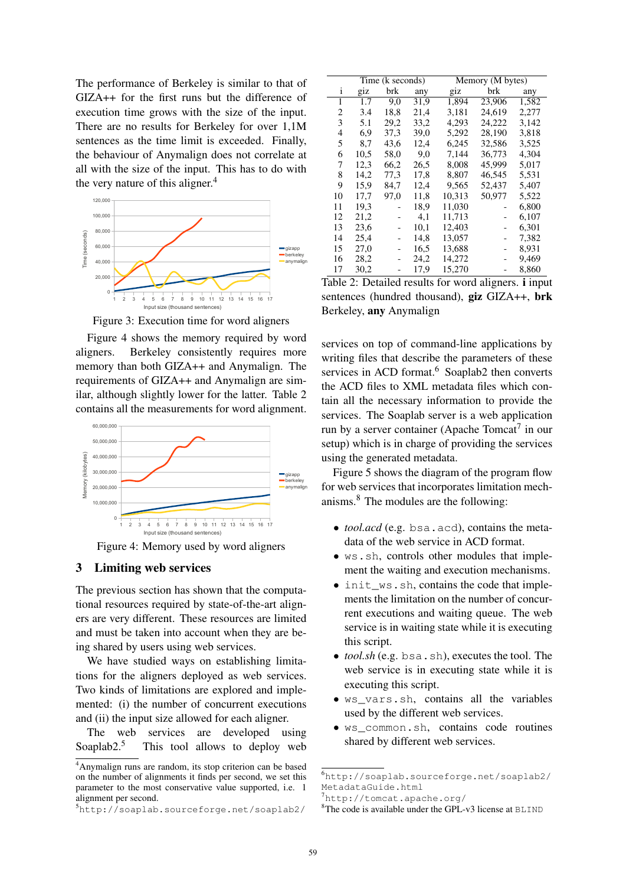The performance of Berkeley is similar to that of GIZA++ for the first runs but the difference of execution time grows with the size of the input. There are no results for Berkeley for over 1,1M sentences as the time limit is exceeded. Finally, the behaviour of Anymalign does not correlate at all with the size of the input. This has to do with the very nature of this aligner.<sup>4</sup>



Figure 3: Execution time for word aligners

Figure 4 shows the memory required by word aligners. Berkeley consistently requires more memory than both GIZA++ and Anymalign. The requirements of GIZA++ and Anymalign are similar, although slightly lower for the latter. Table 2 contains all the measurements for word alignment.



Figure 4: Memory used by word aligners

### 3 Limiting web services

The previous section has shown that the computational resources required by state-of-the-art aligners are very different. These resources are limited and must be taken into account when they are being shared by users using web services.

We have studied ways on establishing limitations for the aligners deployed as web services. Two kinds of limitations are explored and implemented: (i) the number of concurrent executions and (ii) the input size allowed for each aligner.

The web services are developed using Soaplab<sub>2.5</sub> This tool allows to deploy web

|    | Time (k seconds) |      |      | Memory (M bytes) |        |       |
|----|------------------|------|------|------------------|--------|-------|
| i  | giz              | brk  | any  | giz              | brk    | any   |
| 1  | 1.7              | 9,0  | 31,9 | 1,894            | 23,906 | 1,582 |
| 2  | 3.4              | 18,8 | 21,4 | 3,181            | 24,619 | 2,277 |
| 3  | 5.1              | 29,2 | 33,2 | 4,293            | 24,222 | 3,142 |
| 4  | 6.9              | 37,3 | 39,0 | 5.292            | 28.190 | 3,818 |
| 5  | 8,7              | 43,6 | 12,4 | 6,245            | 32,586 | 3,525 |
| 6  | 10,5             | 58,0 | 9,0  | 7,144            | 36,773 | 4,304 |
| 7  | 12,3             | 66,2 | 26,5 | 8,008            | 45,999 | 5,017 |
| 8  | 14,2             | 77,3 | 17,8 | 8,807            | 46,545 | 5,531 |
| 9  | 15.9             | 84.7 | 12,4 | 9.565            | 52,437 | 5,407 |
| 10 | 17,7             | 97,0 | 11,8 | 10,313           | 50,977 | 5,522 |
| 11 | 19.3             |      | 18.9 | 11,030           |        | 6,800 |
| 12 | 21,2             |      | 4,1  | 11,713           |        | 6,107 |
| 13 | 23,6             |      | 10.1 | 12,403           |        | 6.301 |
| 14 | 25,4             |      | 14,8 | 13,057           |        | 7,382 |
| 15 | 27,0             |      | 16,5 | 13,688           |        | 8,931 |
| 16 | 28,2             |      | 24,2 | 14,272           |        | 9,469 |
| 17 | 30,2             |      | 17,9 | 15,270           |        | 8,860 |

Table 2: Detailed results for word aligners. i input sentences (hundred thousand), giz GIZA++, brk Berkeley, any Anymalign

services on top of command-line applications by writing files that describe the parameters of these services in ACD format.<sup>6</sup> Soaplab2 then converts the ACD files to XML metadata files which contain all the necessary information to provide the services. The Soaplab server is a web application run by a server container (Apache Tomcat $^7$  in our setup) which is in charge of providing the services using the generated metadata.

Figure 5 shows the diagram of the program flow for web services that incorporates limitation mechanisms.<sup>8</sup> The modules are the following:

- *tool.acd* (e.g. bsa.acd), contains the metadata of the web service in ACD format.
- ws.sh, controls other modules that implement the waiting and execution mechanisms.
- init\_ws.sh, contains the code that implements the limitation on the number of concurrent executions and waiting queue. The web service is in waiting state while it is executing this script.
- *tool.sh* (e.g. bsa.sh), executes the tool. The web service is in executing state while it is executing this script.
- ws\_vars.sh, contains all the variables used by the different web services.
- ws\_common.sh, contains code routines shared by different web services.

<sup>4</sup>Anymalign runs are random, its stop criterion can be based on the number of alignments it finds per second, we set this parameter to the most conservative value supported, i.e. 1 alignment per second.

<sup>5</sup>http://soaplab.sourceforge.net/soaplab2/

<sup>6</sup>http://soaplab.sourceforge.net/soaplab2/ MetadataGuide.html

<sup>7</sup>http://tomcat.apache.org/

<sup>8</sup>The code is available under the GPL-v3 license at BLIND